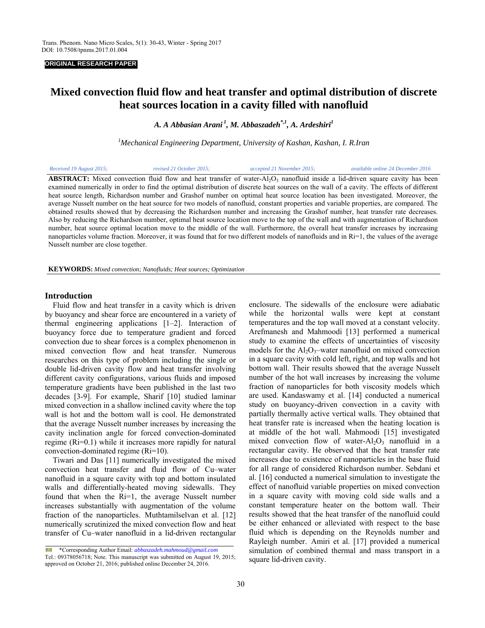### **ORIGINAL RESEARCH PAPER**

# **Mixed convection fluid flow and heat transfer and optimal distribution of discrete heat sources location in a cavity filled with nanofluid**

*A. A Abbasian Arani 1, M. Abbaszadeh\*,1, A. Ardeshiri1* 

*1 Mechanical Engineering Department, University of Kashan, Kashan, I. R.Iran*

| Received 19 August 2015; | revised 21 October 2015: | accepted 21 November 2015; | available online 24 December 2016                                                                                                       |
|--------------------------|--------------------------|----------------------------|-----------------------------------------------------------------------------------------------------------------------------------------|
|                          |                          |                            | <b>ABSTRACT:</b> Mixed convection fluid flow and heat transfer of water- $AI_2O_3$ nanofluid inside a lid-driven square cavity has been |

examined numerically in order to find the optimal distribution of discrete heat sources on the wall of a cavity. The effects of different heat source length, Richardson number and Grashof number on optimal heat source location has been investigated. Moreover, the average Nusselt number on the heat source for two models of nanofluid, constant properties and variable properties, are compared. The obtained results showed that by decreasing the Richardson number and increasing the Grashof number, heat transfer rate decreases. Also by reducing the Richardson number, optimal heat source location move to the top of the wall and with augmentation of Richardson number, heat source optimal location move to the middle of the wall. Furthermore, the overall heat transfer increases by increasing nanoparticles volume fraction. Moreover, it was found that for two different models of nanofluids and in  $\mathrm{Ri}=1$ , the values of the average Nusselt number are close together.

**KEYWORDS:** *Mixed convection; Nanofluids; Heat sources; Optimization*

### **Introduction**

dd<br>Llife

 Fluid flow and heat transfer in a cavity which is driven by buoyancy and shear force are encountered in a variety of thermal engineering applications [1–2]. Interaction of buoyancy force due to temperature gradient and forced convection due to shear forces is a complex phenomenon in mixed convection flow and heat transfer. Numerous researches on this type of problem including the single or double lid-driven cavity flow and heat transfer involving different cavity configurations, various fluids and imposed temperature gradients have been published in the last two decades [3-9]. For example, Sharif [10] studied laminar mixed convection in a shallow inclined cavity where the top wall is hot and the bottom wall is cool. He demonstrated that the average Nusselt number increases by increasing the cavity inclination angle for forced convection-dominated regime (Ri=0.1) while it increases more rapidly for natural convection-dominated regime (Ri=10).

 Tiwari and Das [11] numerically investigated the mixed convection heat transfer and fluid flow of Cu–water nanofluid in a square cavity with top and bottom insulated walls and differentially-heated moving sidewalls. They found that when the Ri=1, the average Nusselt number increases substantially with augmentation of the volume fraction of the nanoparticles. Muthtamilselvan et al. [12] numerically scrutinized the mixed convection flow and heat transfer of Cu–water nanofluid in a lid-driven rectangular

enclosure. The sidewalls of the enclosure were adiabatic while the horizontal walls were kept at constant temperatures and the top wall moved at a constant velocity. Arefmanesh and Mahmoodi [13] performed a numerical study to examine the effects of uncertainties of viscosity models for the  $Al_2O_3$ -water nanofluid on mixed convection in a square cavity with cold left, right, and top walls and hot bottom wall. Their results showed that the average Nusselt number of the hot wall increases by increasing the volume fraction of nanoparticles for both viscosity models which are used. Kandaswamy et al. [14] conducted a numerical study on buoyancy-driven convection in a cavity with partially thermally active vertical walls. They obtained that heat transfer rate is increased when the heating location is at middle of the hot wall. Mahmoodi [15] investigated mixed convection flow of water- $Al_2O_3$  nanofluid in a rectangular cavity. He observed that the heat transfer rate increases due to existence of nanoparticles in the base fluid for all range of considered Richardson number. Sebdani et al. [16] conducted a numerical simulation to investigate the effect of nanofluid variable properties on mixed convection in a square cavity with moving cold side walls and a constant temperature heater on the bottom wall. Their results showed that the heat transfer of the nanofluid could be either enhanced or alleviated with respect to the base fluid which is depending on the Reynolds number and Rayleigh number. Amiri et al. [17] provided a numerical simulation of combined thermal and mass transport in a square lid-driven cavity.

 $\mathbb{R}$ \*Corresponding Author Email: *abbaszadeh.mahmoud@gmail.com* Tel.: 09378056718; Note. This manuscript was submitted on August 19, 2015; approved on October 21, 2016; published online December 24, 2016.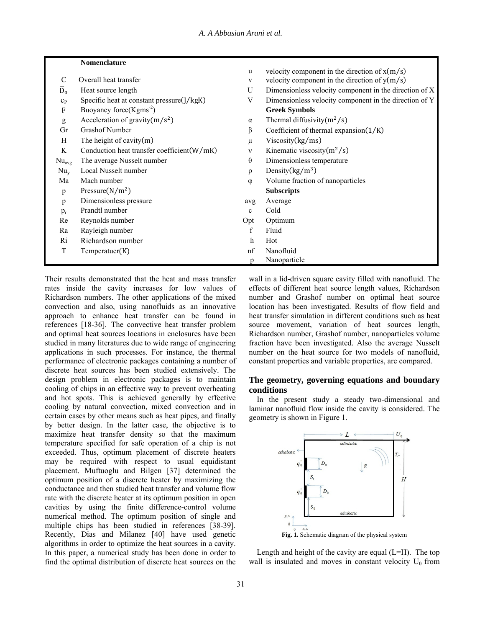# **Nomenclature**

|                  |                                             | u            | velocity component in the direction of x(m/s)          |
|------------------|---------------------------------------------|--------------|--------------------------------------------------------|
| $\mathcal{C}$    | Overall heat transfer                       | $\mathbf{V}$ | velocity component in the direction of $y(m/s)$        |
| $\overline{D}_0$ | Heat source length                          | U            | Dimensionless velocity component in the direction of X |
| $c_{P}$          | Specific heat at constant pressure(J/kgK)   | V            | Dimensionless velocity component in the direction of Y |
| F                | Buoyancy force $(Kgms-2)$                   |              | <b>Greek Symbols</b>                                   |
| g                | Acceleration of gravity $(m/s^2)$           | $\alpha$     | Thermal diffusivity $(m^2/s)$                          |
| Gr               | <b>Grashof Number</b>                       | β            | Coefficient of thermal expansion $(1/K)$               |
| H                | The height of cavity $(m)$                  | $\mu$        | Viscosity(kg/ms)                                       |
| K                | Conduction heat transfer coefficient (W/mK) | v            | Kinematic viscosity $(m^2/s)$                          |
| $Nu_{avg}$       | The average Nusselt number                  | $\theta$     | Dimensionless temperature                              |
| $Nu_{v}$         | Local Nusselt number                        | $\rho$       | Density $(kg/m^3)$                                     |
| Ma               | Mach number                                 | $\varphi$    | Volume fraction of nanoparticles                       |
| p                | Pressure( $N/m2$ )                          |              | <b>Subscripts</b>                                      |
| p                | Dimensionless pressure                      | avg          | Average                                                |
| $p_{r}$          | Prandtl number                              | $\mathbf{c}$ | Cold                                                   |
| Re               | Reynolds number                             | Opt          | Optimum                                                |
| Ra               | Rayleigh number                             | f            | Fluid                                                  |
| Ri               | Richardson number                           | $\mathbf h$  | Hot                                                    |
| $\mathbf T$      | Temperature(K)                              | nf           | Nanofluid                                              |
|                  |                                             | p            | Nanoparticle                                           |

Their results demonstrated that the heat and mass transfer rates inside the cavity increases for low values of Richardson numbers. The other applications of the mixed convection and also, using nanofluids as an innovative approach to enhance heat transfer can be found in references [18-36]. The convective heat transfer problem and optimal heat sources locations in enclosures have been studied in many literatures due to wide range of engineering applications in such processes. For instance, the thermal performance of electronic packages containing a number of discrete heat sources has been studied extensively. The design problem in electronic packages is to maintain cooling of chips in an effective way to prevent overheating and hot spots. This is achieved generally by effective cooling by natural convection, mixed convection and in certain cases by other means such as heat pipes, and finally by better design. In the latter case, the objective is to maximize heat transfer density so that the maximum temperature specified for safe operation of a chip is not exceeded. Thus, optimum placement of discrete heaters may be required with respect to usual equidistant placement. Muftuoglu and Bilgen [37] determined the optimum position of a discrete heater by maximizing the conductance and then studied heat transfer and volume flow rate with the discrete heater at its optimum position in open cavities by using the finite difference-control volume numerical method. The optimum position of single and multiple chips has been studied in references [38-39]. Recently, Dias and Milanez [40] have used genetic algorithms in order to optimize the heat sources in a cavity. In this paper, a numerical study has been done in order to find the optimal distribution of discrete heat sources on the

wall in a lid-driven square cavity filled with nanofluid. The effects of different heat source length values, Richardson number and Grashof number on optimal heat source location has been investigated. Results of flow field and heat transfer simulation in different conditions such as heat source movement, variation of heat sources length, Richardson number, Grashof number, nanoparticles volume fraction have been investigated. Also the average Nusselt number on the heat source for two models of nanofluid, constant properties and variable properties, are compared.

 $v_{\text{rel}}(m/a)$ 

# **The geometry, governing equations and boundary conditions**

In the present study a steady two-dimensional and laminar nanofluid flow inside the cavity is considered. The geometry is shown in Figure 1.



Length and height of the cavity are equal  $(L=H)$ . The top wall is insulated and moves in constant velocity  $U_0$  from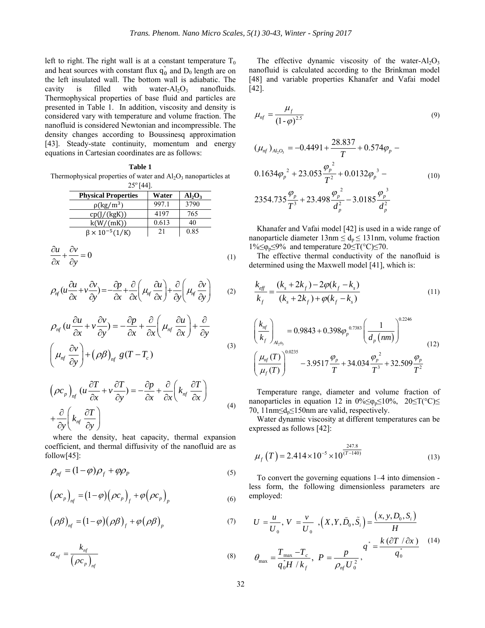left to right. The right wall is at a constant temperature  $T_0$ and heat sources with constant flux  $q_0^{\dagger}$  and  $D_0$  length are on the left insulated wall. The bottom wall is adiabatic. The cavity is filled with water- $Al_2O_3$  nanofluids. Thermophysical properties of base fluid and particles are presented in Table 1. In addition, viscosity and density is considered vary with temperature and volume fraction. The nanofluid is considered Newtonian and incompressible. The density changes according to Boussinesq approximation [43]. Steady-state continuity, momentum and energy equations in Cartesian coordinates are as follows:

|  | Table 1 |  |
|--|---------|--|
|  |         |  |

Thermophysical properties of water and  $Al_2O_3$  nanoparticles at  $25^{\circ}$  [44].

| <b>Physical Properties</b>   | Water | $Al_2O_3$ |
|------------------------------|-------|-----------|
| $\rho(\text{kg}/\text{m}^3)$ | 997.1 | 3790      |
| cp(I/(kgK))                  | 4197  | 765       |
| k(W/(mK))                    | 0.613 | 40        |
| $\beta \times 10^{-5} (1/K)$ | 21    | 0.85      |

$$
\frac{\partial u}{\partial x} + \frac{\partial v}{\partial y} = 0 \tag{1}
$$

$$
\rho_{\eta f}(u\frac{\partial u}{\partial x} + v\frac{\partial v}{\partial y}) = -\frac{\partial p}{\partial x} + \frac{\partial}{\partial x}\left(\mu_{\eta f}\frac{\partial u}{\partial x}\right) + \frac{\partial}{\partial y}\left(\mu_{\eta f}\frac{\partial v}{\partial y}\right) \tag{2}
$$

$$
\rho_{nf}(u\frac{\partial u}{\partial x} + v\frac{\partial v}{\partial y}) = -\frac{\partial p}{\partial x} + \frac{\partial}{\partial x}\left(\mu_{nf}\frac{\partial u}{\partial x}\right) + \frac{\partial}{\partial y}
$$
\n
$$
\left(\mu_{nf}\frac{\partial v}{\partial y}\right) + \left(\rho\beta\right)_{nf}g(T - T_c)
$$
\n(3)

$$
\left(\rho c_p\right)_{nf} \left(u\frac{\partial T}{\partial x} + v\frac{\partial T}{\partial y}\right) = -\frac{\partial p}{\partial x} + \frac{\partial}{\partial x}\left(k_{nf}\frac{\partial T}{\partial x}\right)
$$

$$
+\frac{\partial}{\partial y}\left(k_{nf}\frac{\partial T}{\partial y}\right)
$$
(4)

 where the density, heat capacity, thermal expansion coefficient, and thermal diffusivity of the nanofluid are as follow[45]:

$$
\rho_{nf} = (1 - \varphi)\rho_f + \varphi\rho_p \tag{5}
$$

$$
\left(\rho c_p\right)_{nf} = \left(1 - \varphi\right)\left(\rho c_p\right)_f + \varphi\left(\rho c_p\right)_p\tag{6}
$$

$$
(\rho \beta)_{n_f} = (1 - \varphi)(\rho \beta)_f + \varphi(\rho \beta)_p \tag{7}
$$

$$
\alpha_{nf} = \frac{k_{nf}}{\left(\rho c_p\right)_{nf}}
$$
\n(8)

The effective dynamic viscosity of the water- $Al_2O_3$ nanofluid is calculated according to the Brinkman model [48] and variable properties Khanafer and Vafai model [42].

$$
\mu_{nf} = \frac{\mu_f}{\left(1-\varphi\right)^{2.5}}\tag{9}
$$

$$
(\mu_{nf})_{A l_2 O_3} = -0.4491 + \frac{28.837}{T} + 0.574\varphi_p -
$$
  
0.1634 $\varphi_p^2$  + 23.053 $\frac{\varphi_p^2}{T^2}$  + 0.0132 $\varphi_p^3$  -  
2354.735 $\frac{\varphi_p}{T^2}$  + 23.498 $\frac{\varphi_p^2}{T^2}$  - 3.0185 $\frac{\varphi_p^3}{T^2}$  (10)

 $2354.735 \frac{\varphi_p}{T^3} + 23.498 \frac{\varphi_p}{J^2} - 3.0185 \frac{\varphi_p}{J^2}$  $T^3$  *d*<sub>p</sub><sup>2</sup> *d*<sub>p</sub><sup>2</sup> *d*<sub>p</sub><sup>2</sup>

 Khanafer and Vafai model [42] is used in a wide range of nanoparticle diameter  $13nm \le d_p \le 131nm$ , volume fraction  $1\% \leq \varphi_p \leq 9\%$  and temperature  $20 \leq T(^{\circ}C) \leq 70$ .

 The effective thermal conductivity of the nanofluid is determined using the Maxwell model [41], which is:

$$
\frac{k_{\text{eff}}}{k_f} = \frac{(k_s + 2k_f) - 2\varphi(k_f - k_s)}{(k_s + 2k_f) + \varphi(k_f - k_s)}
$$
(11)

$$
\left(\frac{k_{nf}}{k_f}\right)_{A_{2o_3}} = 0.9843 + 0.398\varphi_p^{0.7383} \left(\frac{1}{d_p (nm)}\right)^{0.2246}
$$
\n
$$
\left(\frac{\mu_{nf}(T)}{\mu_f(T)}\right)^{0.0235} - 3.9517\frac{\varphi_p}{T} + 34.034\frac{\varphi_p^{2}}{T^3} + 32.509\frac{\varphi_p}{T^2}
$$
\n(12)

 Temperature range, diameter and volume fraction of nanoparticles in equation 12 in  $0\% \leq \varphi_p \leq 10\%$ ,  $20 \leq T(^{\circ}C) \leq$ 70, 11 $nm \le d_p \le 150$ nm are valid, respectively.

 Water dynamic viscosity at different temperatures can be expressed as follows [42]:

$$
\mu_f(T) = 2.414 \times 10^{-5} \times 10^{\frac{247.8}{(T-140)}}
$$
\n(13)

 To convert the governing equations 1–4 into dimension less form, the following dimensionless parameters are employed:

$$
U = \frac{u}{U_0}, V = \frac{v}{U_0}, (X, Y, \tilde{D}_0, \tilde{S}_i) = \frac{(x, y, D_0, S_i)}{H}
$$

$$
\theta_{\text{max}} = \frac{T_{\text{max}} - T_c}{q_0^T H / k_f}, P = \frac{p}{\rho_{\text{nf}} U_0^2}, \qquad \qquad \frac{q^*}{q_0^*} = \frac{k(\partial T / \partial x)}{q_0^*} \qquad (14)
$$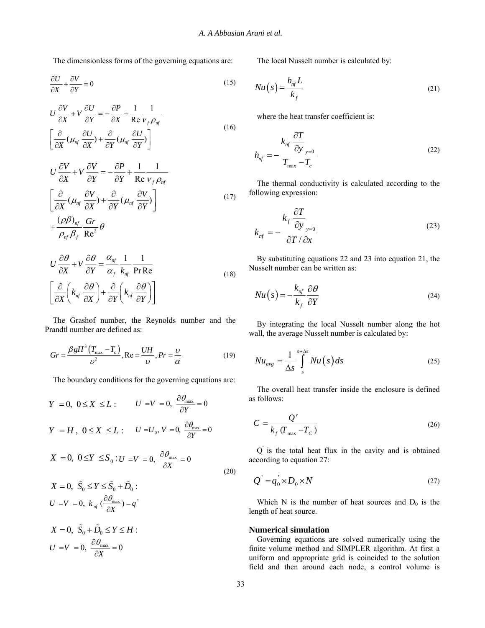The dimensionless forms of the governing equations are:

$$
\frac{\partial U}{\partial X} + \frac{\partial V}{\partial Y} = 0\tag{15}
$$

$$
U\frac{\partial V}{\partial X} + V\frac{\partial U}{\partial Y} = -\frac{\partial P}{\partial X} + \frac{1}{\text{Re}}\frac{1}{V_f \rho_{nf}}
$$
  

$$
\left[\frac{\partial}{\partial X}(\mu_{nf} \frac{\partial U}{\partial X}) + \frac{\partial}{\partial Y}(\mu_{nf} \frac{\partial U}{\partial Y})\right]
$$
 (16)

$$
U\frac{\partial V}{\partial X} + V\frac{\partial V}{\partial Y} = -\frac{\partial P}{\partial Y} + \frac{1}{\text{Re}}\frac{1}{V_f \rho_{nf}}
$$
  

$$
\left[\frac{\partial}{\partial X}(\mu_{nf} \frac{\partial V}{\partial X}) + \frac{\partial}{\partial Y}(\mu_{nf} \frac{\partial V}{\partial Y})\right]
$$
  

$$
+\frac{(\rho \beta)_{nf}}{\rho_{nf} \beta_f} \frac{\text{Gr}}{\text{Re}^2} \theta
$$
 (17)

$$
U\frac{\partial \theta}{\partial X} + V\frac{\partial \theta}{\partial Y} = \frac{\alpha_{nf}}{\alpha_f} \frac{1}{k_{nf}} \frac{1}{\text{Pr Re}}
$$
  

$$
\left[\frac{\partial}{\partial X}\left(k_{nf} \frac{\partial \theta}{\partial X}\right) + \frac{\partial}{\partial Y}\left(k_{nf} \frac{\partial \theta}{\partial Y}\right)\right]
$$
 (18)

 The Grashof number, the Reynolds number and the Prandtl number are defined as:

$$
Gr = \frac{\beta g H^3 (T_{\text{max}} - T_c)}{\nu^2}, \text{Re} = \frac{UH}{\nu}, Pr = \frac{\nu}{\alpha}
$$
(19)

The boundary conditions for the governing equations are:

$$
Y = 0, \ 0 \le X \le L: \qquad U = V = 0, \ \frac{\partial \theta_{\text{max}}}{\partial Y} = 0
$$
\n
$$
Y = H, \ 0 \le X \le L: \qquad U = U_0, \ V = 0, \ \frac{\partial \theta_{\text{max}}}{\partial Y} = 0
$$
\n
$$
X = 0, \ 0 \le Y \le S_0: U = V = 0, \ \frac{\partial \theta_{\text{max}}}{\partial X} = 0
$$
\n
$$
X = 0, \ \tilde{S}_0 \le Y \le \tilde{S}_0 + \tilde{D}_0:
$$
\n
$$
U = V = 0, \ k_{nf} \left(\frac{\partial \theta_{\text{max}}}{\partial X}\right) = q^*
$$
\n
$$
X = 0, \ \tilde{S}_0 + \tilde{D}_0 \le Y \le H:
$$
\n
$$
U = V = 0, \ \frac{\partial \theta_{\text{max}}}{\partial X} = 0
$$
\n(20)

The local Nusselt number is calculated by:

$$
Nu(s) = \frac{h_{nf}L}{k_f}
$$
\n(21)

where the heat transfer coefficient is:

$$
h_{nf} = -\frac{k_{nf} \frac{\partial T}{\partial y_{y=0}}}{T_{\text{max}} - T_c}
$$
 (22)

 The thermal conductivity is calculated according to the following expression:

$$
k_{nf} = -\frac{k_f \frac{\partial T}{\partial y_{y=0}}}{\partial T / \partial x}
$$
 (23)

 By substituting equations 22 and 23 into equation 21, the Nusselt number can be written as:

$$
Nu(s) = -\frac{k_{nf}}{k_f} \frac{\partial \theta}{\partial Y}
$$
 (24)

 By integrating the local Nusselt number along the hot wall, the average Nusselt number is calculated by:

$$
Nu_{avg} = \frac{1}{\Delta s} \int_{s}^{s+\Delta s} Nu(s) ds
$$
 (25)

 The overall heat transfer inside the enclosure is defined as follows:

$$
C = \frac{Q'}{k_f \left( T_{\text{max}} - T_C \right)}\tag{26}
$$

 Q' is the total heat flux in the cavity and is obtained according to equation 27:

$$
Q' = q_0^* \times D_0 \times N \tag{27}
$$

Which N is the number of heat sources and  $D_0$  is the length of heat source.

### **Numerical simulation**

 Governing equations are solved numerically using the finite volume method and SIMPLER algorithm. At first a uniform and appropriate grid is coincided to the solution field and then around each node, a control volume is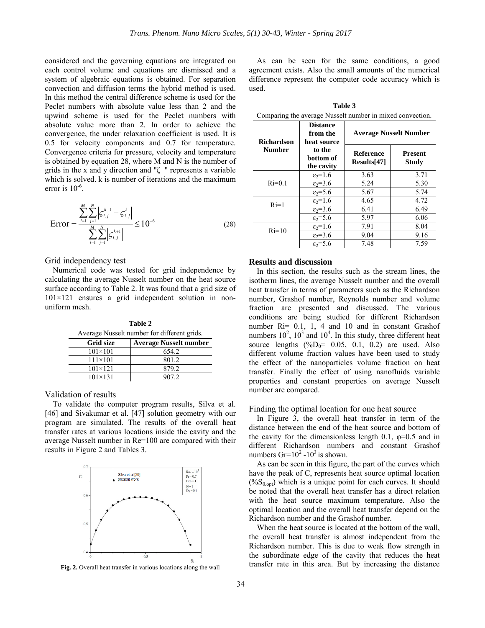considered and the governing equations are integrated on each control volume and equations are dismissed and a system of algebraic equations is obtained. For separation convection and diffusion terms the hybrid method is used. In this method the central difference scheme is used for the Peclet numbers with absolute value less than 2 and the upwind scheme is used for the Peclet numbers with absolute value more than 2. In order to achieve the convergence, the under relaxation coefficient is used. It is 0.5 for velocity components and 0.7 for temperature. Convergence criteria for pressure, velocity and temperature is obtained by equation 28, where M and N is the number of grids in the x and y direction and "ζ " represents a variable which is solved. k is number of iterations and the maximum error is  $10^{-6}$ .

$$
\text{Error} = \frac{\sum_{i=1}^{M} \sum_{j=1}^{N} \left| \zeta_{i,j}^{k+1} - \zeta_{i,j}^{k} \right|}{\sum_{i=1}^{M} \sum_{j=1}^{N} \left| \zeta_{i,j}^{k+1} \right|} \le 10^{-6}
$$
(28)

Grid independency test

 Numerical code was tested for grid independence by calculating the average Nusselt number on the heat source surface according to Table 2. It was found that a grid size of  $101\times121$  ensures a grid independent solution in nonuniform mesh.

**Table 2**  Average Nusselt number for different grids.

| Grid size        | <b>Average Nusselt number</b> |
|------------------|-------------------------------|
| $101 \times 101$ | 654.2                         |
| $111 \times 101$ | 801.2                         |
| $101 \times 121$ | 879.2                         |
| $101 \times 131$ | 907.2                         |

Validation of results

 To validate the computer program results, Silva et al. [46] and Sivakumar et al. [47] solution geometry with our program are simulated. The results of the overall heat transfer rates at various locations inside the cavity and the average Nusselt number in Re=100 are compared with their results in Figure 2 and Tables 3.



Fig. 2. Overall heat transfer in various locations along the wall

 As can be seen for the same conditions, a good agreement exists. Also the small amounts of the numerical difference represent the computer code accuracy which is used.

**Table 3** 

Comparing the average Nusselt number in mixed convection. **Richardson Number Distance from the heat source to the bottom of the cavity Average Nusselt Number Reference Results[47] Present Study**   $Ri=0.1$  $\frac{\varepsilon_2=1.6}{\varepsilon_2=3.6}$  3.63 3.71<br> $\frac{\varepsilon_2=3.6}{5.24}$  5.30  $\varepsilon_2=3.6$  $\varepsilon_2 = 5.6$  5.67 5.74  $Ri=1$   $\frac{\epsilon_2=1.6}{\epsilon_1^2}$   $\frac{4.65}{\epsilon_4^2}$   $\frac{4.72}{\epsilon_5^2}$  $\frac{\varepsilon_2=3.6}{\varepsilon_2=5.6}$  6.41 6.49<br>6.66 6.66  $\varepsilon_2=5.6$  $Ri=10$   $\frac{\epsilon_2=1.6}{\epsilon_2=2.6}$   $\frac{7.91}{\epsilon_2=2.6}$   $\frac{8.04}{\epsilon_2=2.6}$  $\frac{\varepsilon_2=3.6}{\varepsilon_2=5.6}$  9.04 9.16<br> $\frac{\varepsilon_2=5.6}{7.48}$  7.59  $\varepsilon_2 = 5.6$  7.48

## **Results and discussion**

 In this section, the results such as the stream lines, the isotherm lines, the average Nusselt number and the overall heat transfer in terms of parameters such as the Richardson number, Grashof number, Reynolds number and volume fraction are presented and discussed. The various conditions are being studied for different Richardson number Ri= 0.1, 1, 4 and 10 and in constant Grashof numbers  $10^2$ ,  $10^3$  and  $10^4$ . In this study, three different heat source lengths  $(^{\circ}\!\!/\mathrm{o}D_0 = 0.05, 0.1, 0.2)$  are used. Also different volume fraction values have been used to study the effect of the nanoparticles volume fraction on heat transfer. Finally the effect of using nanofluids variable properties and constant properties on average Nusselt number are compared.

### Finding the optimal location for one heat source

 In Figure 3, the overall heat transfer in term of the distance between the end of the heat source and bottom of the cavity for the dimensionless length 0.1,  $\varphi$ =0.5 and in different Richardson numbers and constant Grashof numbers  $\text{Gr}=10^2 \text{ - }10^3$  is shown.

 As can be seen in this figure, the part of the curves which have the peak of C, represents heat source optimal location  $(\%S_{0.0pt})$  which is a unique point for each curves. It should be noted that the overall heat transfer has a direct relation with the heat source maximum temperature. Also the optimal location and the overall heat transfer depend on the Richardson number and the Grashof number.

 When the heat source is located at the bottom of the wall, the overall heat transfer is almost independent from the Richardson number. This is due to weak flow strength in the subordinate edge of the cavity that reduces the heat transfer rate in this area. But by increasing the distance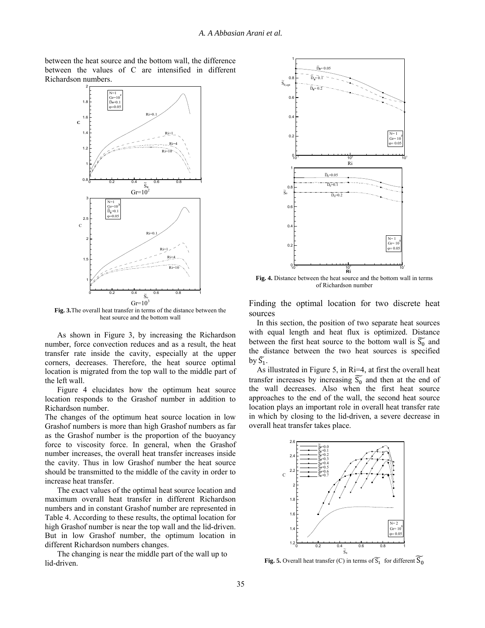between the heat source and the bottom wall, the difference between the values of C are intensified in different Richardson numbers.



**Fig. 3.**The overall heat transfer in terms of the distance between the heat source and the bottom wall

As shown in Figure 3, by increasing the Richardson number, force convection reduces and as a result, the heat transfer rate inside the cavity, especially at the upper corners, decreases. Therefore, the heat source optimal location is migrated from the top wall to the middle part of the left wall.

Figure 4 elucidates how the optimum heat source location responds to the Grashof number in addition to Richardson number.

The changes of the optimum heat source location in low Grashof numbers is more than high Grashof numbers as far as the Grashof number is the proportion of the buoyancy force to viscosity force. In general, when the Grashof number increases, the overall heat transfer increases inside the cavity. Thus in low Grashof number the heat source should be transmitted to the middle of the cavity in order to increase heat transfer.

The exact values of the optimal heat source location and maximum overall heat transfer in different Richardson numbers and in constant Grashof number are represented in Table 4. According to these results, the optimal location for high Grashof number is near the top wall and the lid-driven. But in low Grashof number, the optimum location in different Richardson numbers changes.

The changing is near the middle part of the wall up to lid-driven.



**Fig. 4.** Distance between the heat source and the bottom wall in terms of Richardson number

Finding the optimal location for two discrete heat sources

 In this section, the position of two separate heat sources with equal length and heat flux is optimized. Distance between the first heat source to the bottom wall is  $\widetilde{S_0}$  and the distance between the two heat sources is specified by  $\widetilde{S}_1$ .

 As illustrated in Figure 5, in Ri=4, at first the overall heat transfer increases by increasing  $\widetilde{S_0}$  and then at the end of the wall decreases. Also when the first heat source approaches to the end of the wall, the second heat source location plays an important role in overall heat transfer rate in which by closing to the lid-driven, a severe decrease in overall heat transfer takes place.



**Fig. 5.** Overall heat transfer (C) in terms of  $\widetilde{S_1}$  for different  $\widetilde{S_0}$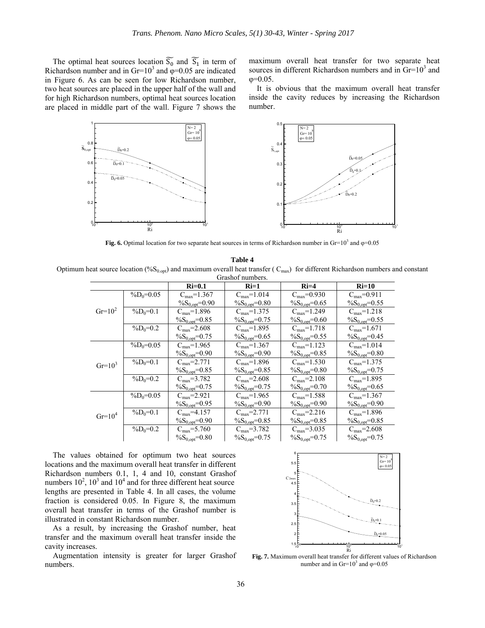The optimal heat sources location  $\widetilde{S_0}$  and  $\widetilde{S_1}$  in term of Richardson number and in Gr=10<sup>3</sup> and  $\varphi$ =0.05 are indicated in Figure 6. As can be seen for low Richardson number, two heat sources are placed in the upper half of the wall and for high Richardson numbers, optimal heat sources location are placed in middle part of the wall. Figure 7 shows the

maximum overall heat transfer for two separate heat sources in different Richardson numbers and in  $\text{Gr}=10^3$  and φ=0.05.

 It is obvious that the maximum overall heat transfer inside the cavity reduces by increasing the Richardson number.



**Fig. 6.** Optimal location for two separate heat sources in terms of Richardson number in  $\text{Gr}=10^3$  and  $\varphi=0.05$ 

**Table 4** 

|           |              | $Ri=0.1$                    | $Ri=1$                              |                             | $Ri=10$                     |  |
|-----------|--------------|-----------------------------|-------------------------------------|-----------------------------|-----------------------------|--|
|           | $\%D_0=0.05$ | $C_{max} = 1.367$           | $C_{max} = 1.014$                   | $C_{\text{max}} = 0.930$    | $C_{max} = 0.911$           |  |
|           |              | $\frac{\%S_{0,opt}}{=0.90}$ | $\%S_{0, opt} = 0.80$               | $\frac{\%S_{0,opt}}{=0.65}$ | $\%S_{0, opt} = 0.55$       |  |
| $Gr=10^2$ | $\%D_0=0.1$  | $C_{\text{max}} = 1.896$    | $C_{\text{max}} = 1.375$            | $C_{max} = 1.249$           | $C_{\text{max}} = 1.218$    |  |
|           |              | $\%S_{0, opt} = 0.85$       | $\%S_{0, opt} = 0.75$               | $\%S_{0, opt} = 0.60$       | $\%S_{0, opt} = 0.55$       |  |
|           | $\%D_0=0.2$  | $C_{\text{max}} = 2.608$    | $C_{\text{max}} = 1.895$            | $C_{\text{max}} = 1.718$    | $C_{\text{max}} = 1.671$    |  |
|           |              | $\%S_{0, opt} = 0.75$       | $\%S_{0, opt} = 0.65$               | $\frac{\%S_{0,opt}}{=0.55}$ | $\frac{\%S_{0,opt}}{=0.45}$ |  |
|           | $\%D_0=0.05$ | $C_{max} = 1.965$           | $C_{\text{max}} = 1.367$            | $C_{\text{max}} = 1.123$    | $C_{max} = 1.014$           |  |
|           |              | $\%S_{0, opt} = 0.90$       | $\%S_{0, opt} = 0.90$               | $\%S_{0, opt} = 0.85$       | $\%S_{0, opt} = 0.80$       |  |
| $Gr=10^3$ | $\%D_0=0.1$  | $C_{max} = 2.771$           | $C_{\text{max}} = 1.89\overline{6}$ | $C_{\text{max}} = 1.530$    | $C_{\text{max}} = 1.375$    |  |
|           |              | $\%S_{0, opt} = 0.85$       | $\%S_{0, opt} = 0.85$               | $\%S_{0, opt} = 0.80$       | $\%S_{0, opt} = 0.75$       |  |
|           | $\%D_0=0.2$  | $C_{\text{max}} = 3.782$    | $C_{\text{max}} = 2.608$            | $C_{\text{max}} = 2.108$    | $C_{max} = 1.895$           |  |
|           |              | $\%S_{0, opt} = 0.75$       | $\%S_{0, opt} = 0.75$               | $\%S_{0, opt} = 0.70$       | $\%S_{0, opt} = 0.65$       |  |
|           | $\%D_0=0.05$ | $C_{max} = 2.921$           | $C_{max} = 1.965$                   | $C_{\text{max}} = 1.588$    | $C_{\text{max}} = 1.367$    |  |
|           |              | $\%S_{0, opt} = 0.95$       | $\%S_{0, opt} = 0.90$               | $\%S_{0, opt} = 0.90$       | $\%S_{0, opt} = 0.90$       |  |
| $Gr=10^4$ | $\%D_0=0.1$  | $C_{\text{max}} = 4.157$    | $C_{\text{max}} = 2.771$            | $C_{\text{max}} = 2.216$    | $C_{\text{max}} = 1.896$    |  |
|           |              | $\%S_{0, opt} = 0.90$       | $\%S_{0, opt} = 0.85$               | $\%S_{0, opt} = 0.85$       | $\%S_{0, opt} = 0.85$       |  |

 The values obtained for optimum two heat sources locations and the maximum overall heat transfer in different Richardson numbers 0.1, 1, 4 and 10, constant Grashof numbers  $10^2$ ,  $10^3$  and  $10^4$  and for three different heat source lengths are presented in Table 4. In all cases, the volume fraction is considered 0.05. In Figure 8, the maximum overall heat transfer in terms of the Grashof number is illustrated in constant Richardson number.

 As a result, by increasing the Grashof number, heat transfer and the maximum overall heat transfer inside the cavity increases.

 Augmentation intensity is greater for larger Grashof numbers.



**Fig. 7.** Maximum overall heat transfer for different values of Richardson number and in  $Gr=10^3$  and  $\varphi=0.05$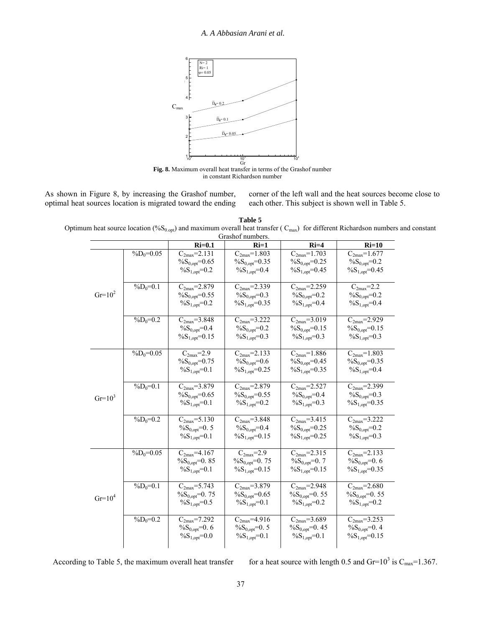

in constant Richardson number

As shown in Figure 8, by increasing the Grashof number, optimal heat sources location is migrated toward the ending corner of the left wall and the heat sources become close to each other. This subject is shown well in Table 5.

**Table 5**  Optimum heat source location (%S<sub>0.opt</sub>) and maximum overall heat transfer ( $C_{\text{max}}$ ) for different Richardson numbers and constant Grashof numbers.

|           |              | $Ri=0.1$                                                                       | $Ri=1$                                                              | $Ri=4$                                                               | $Ri=10$                                                                        |
|-----------|--------------|--------------------------------------------------------------------------------|---------------------------------------------------------------------|----------------------------------------------------------------------|--------------------------------------------------------------------------------|
|           | $\%D_0=0.05$ | $C_{2max} = 2.\overline{131}$<br>$\%S_{0, opt} = 0.65$<br>$\%S_{1, opt} = 0.2$ | $C_{2max} = 1.803$<br>$\%S_{0, opt} = 0.35$<br>$\%S_{1, opt} = 0.4$ | $C_{2max} = 1.703$<br>$\%S_{0, opt} = 0.25$<br>$\%S_{1, opt} = 0.45$ | $C_{2max} = 1.677$<br>$\%S_{0, opt} = 0.2$<br>$\%S_{1, opt} = 0.45$            |
| $Gr=10^2$ | $\%D_0=0.1$  | $C_{2max} = 2.879$<br>$\%S_{0, opt} = 0.55$<br>$\%S_{1, opt} = 0.2$            | $C_{2max} = 2.339$<br>$\%S_{0, opt} = 0.3$<br>$\%S_{1,opt} = 0.35$  | $C_{2max} = 2.259$<br>$\%S_{0, opt} = 0.2$<br>$\%S_{1, opt} = 0.4$   | $C_{2max} = 2.2$<br>$\%S_{0, opt} = 0.2$<br>$\%S_{1, opt} = 0.4$               |
|           | $\%D_0=0.2$  | $C_{2max} = 3.848$<br>$\%S_{0, opt} = 0.4$<br>$\%S_{1, opt} = 0.15$            | $C_{2max} = 3.222$<br>$\%S_{0, opt} = 0.2$<br>$\%S_{1, opt} = 0.3$  | $C_{2max} = 3.019$<br>$\%S_{0, opt} = 0.15$<br>$\%S_{1, opt} = 0.3$  | $C_{2max} = 2.929$<br>$\%S_{0.00t} = 0.15$<br>$\%S_{1, opt} = 0.3$             |
|           | $\%D_0=0.05$ | $C_{2max} = 2.9$<br>$\%S_{0, opt} = 0.75$<br>$\%S_{1,opt}=0.1$                 | $C_{2max} = 2.133$<br>$\%S_{0, opt} = 0.6$<br>$\%S_{1,opt}=0.25$    | $C_{2max} = 1.886$<br>$\%S_{0, opt} = 0.45$<br>$\%S_{1,opt}=0.35$    | $C_{2max} = 1.803$<br>$\%S_{0, opt} = 0.35$<br>$\%S_{1, opt} = 0.4$            |
| $Gr=10^3$ | $\%D_0=0.1$  | $C_{2max} = 3.879$<br>$\%S_{0, opt} = 0.65$<br>$\%S_{1, opt} = 0.1$            | $C_{2max} = 2.879$<br>$\%S_{0, opt} = 0.55$<br>$\%S_{1,opt}=0.2$    | $C_{2max} = 2.527$<br>$\%S_{0, opt} = 0.4$<br>$\%S_{1, opt} = 0.3$   | $C_{2max} = 2.399$<br>$\%S_{0, opt} = 0.3$<br>$\%S_{1, opt} = 0.35$            |
|           | $\%D_0=0.2$  | $C_{2max} = 5.130$<br>$\%S_{0, opt} = 0.5$<br>$\%S_{1, opt} = 0.1$             | $C_{2max} = 3.848$<br>$\%S_{0, opt} = 0.4$<br>$\%S_{1, opt} = 0.15$ | $C_{2max} = 3.415$<br>$\%S_{0, opt} = 0.25$<br>$\%S_{1, opt} = 0.25$ | $C_{2max} = 3.222$<br>$\%S_{0, opt} = 0.2$<br>$\%S_{1, opt} = 0.3$             |
|           | $\%D_0=0.05$ | $C_{2max} = 4.167$<br>$\%S_{0, opt} = 0.85$<br>$\%S_{1, opt} = 0.1$            | $C_{2max} = 2.9$<br>$\%S_{0, opt} = 0.75$<br>$\%S_{1, opt} = 0.15$  | $C_{2max} = 2.315$<br>$\%S_{0, opt} = 0.7$<br>$\%S_{1, opt} = 0.15$  | $C_{2max} = 2.133$<br>$\%S_{0, opt} = 0.6$<br>$\%S_{1, opt} = 0.35$            |
| $Gr=10^4$ | $\%D_0=0.1$  | $C_{2max} = 5.743$<br>$\%S_{0, opt} = 0.75$<br>$\%S_{1, opt} = 0.5$            | $C_{2max} = 3.879$<br>$\%S_{0, opt} = 0.65$<br>$\%S_{1, opt} = 0.1$ | $C_{2max} = 2.948$<br>$\%S_{0, opt} = 0.55$<br>$\%S_{1, opt} = 0.2$  | $C_{2max} = 2.680$<br>$\%S_{0, opt} = 0.55$<br>$\%S_{1, opt} = 0.2$            |
|           | $\%D_0=0.2$  | $C_{2max} = 7.292$<br>$\%S_{0, opt} = 0.6$<br>$\%S_{1,opt}=0.0$                | $C_{2max} = 4.916$<br>$\%S_{0, opt} = 0.5$<br>$\%S_{1,opt} = 0.1$   | $C_{2max} = 3.689$<br>$\%S_{0, opt} = 0.45$<br>$\%S_{1,opt}=0.1$     | $C_{2max} = 3.\overline{253}$<br>$\%S_{0, opt} = 0.4$<br>$\%S_{1, opt} = 0.15$ |

| According to Table 5, the maximum overall heat transfer |  |  |  |  |
|---------------------------------------------------------|--|--|--|--|
|                                                         |  |  |  |  |

According to Table 5, the maximum overall heat transfer for a heat source with length 0.5 and Gr=10<sup>3</sup> is C<sub>max</sub>=1.367.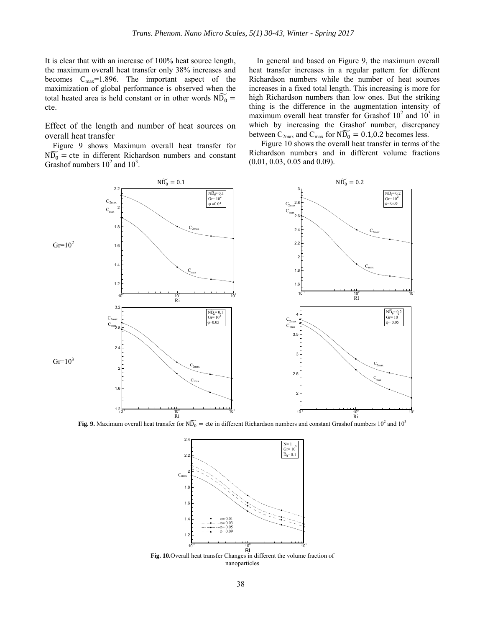It is clear that with an increase of 100% heat source length, the maximum overall heat transfer only 38% increases and becomes  $C_{\text{max}}=1.896$ . The important aspect of the maximization of global performance is observed when the total heated area is held constant or in other words  $N\widetilde{D}_0 =$ cte.

Effect of the length and number of heat sources on overall heat transfer

 Figure 9 shows Maximum overall heat transfer for  $N\widetilde{D}_0$  = cte in different Richardson numbers and constant Grashof numbers  $10^2$  and  $10^3$ .

 In general and based on Figure 9, the maximum overall heat transfer increases in a regular pattern for different Richardson numbers while the number of heat sources increases in a fixed total length. This increasing is more for high Richardson numbers than low ones. But the striking thing is the difference in the augmentation intensity of maximum overall heat transfer for Grashof  $10^2$  and  $10^3$  in which by increasing the Grashof number, discrepancy between  $C_{2max}$  and  $C_{max}$  for  $N\widetilde{D}_0 = 0.1, 0.2$  becomes less.

Figure 10 shows the overall heat transfer in terms of the Richardson numbers and in different volume fractions (0.01, 0.03, 0.05 and 0.09).



Fig. 9. Maximum overall heat transfer for  $N\widetilde{D_0}$  = cte in different Richardson numbers and constant Grashof numbers 10<sup>2</sup> and 10<sup>3</sup>



**Fig. 10.**Overall heat transfer Changes in different the volume fraction of nanoparticles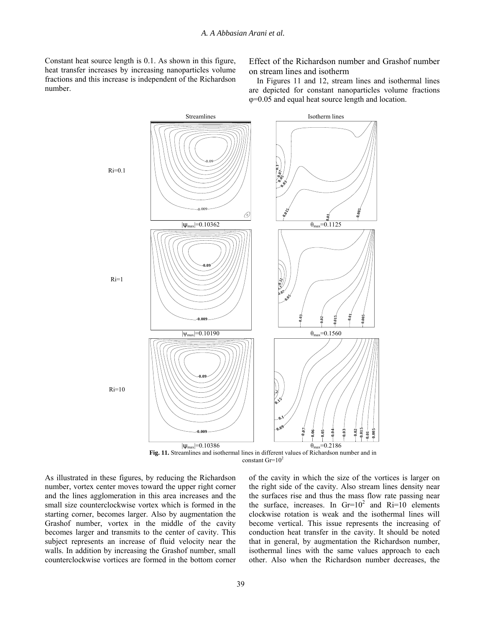Constant heat source length is 0.1. As shown in this figure, heat transfer increases by increasing nanoparticles volume fractions and this increase is independent of the Richardson number.

Effect of the Richardson number and Grashof number on stream lines and isotherm

 In Figures 11 and 12, stream lines and isothermal lines are depicted for constant nanoparticles volume fractions φ=0.05 and equal heat source length and location.



**Fig. 11.** Streamlines and isothermal lines in different values of Richardson number and in constant  $\text{Gr}=10^2$ 

As illustrated in these figures, by reducing the Richardson number, vortex center moves toward the upper right corner and the lines agglomeration in this area increases and the small size counterclockwise vortex which is formed in the starting corner, becomes larger. Also by augmentation the Grashof number, vortex in the middle of the cavity becomes larger and transmits to the center of cavity. This subject represents an increase of fluid velocity near the walls. In addition by increasing the Grashof number, small counterclockwise vortices are formed in the bottom corner

of the cavity in which the size of the vortices is larger on the right side of the cavity. Also stream lines density near the surfaces rise and thus the mass flow rate passing near the surface, increases. In  $Gr=10^2$  and  $R_i=10$  elements clockwise rotation is weak and the isothermal lines will become vertical. This issue represents the increasing of conduction heat transfer in the cavity. It should be noted that in general, by augmentation the Richardson number, isothermal lines with the same values approach to each other. Also when the Richardson number decreases, the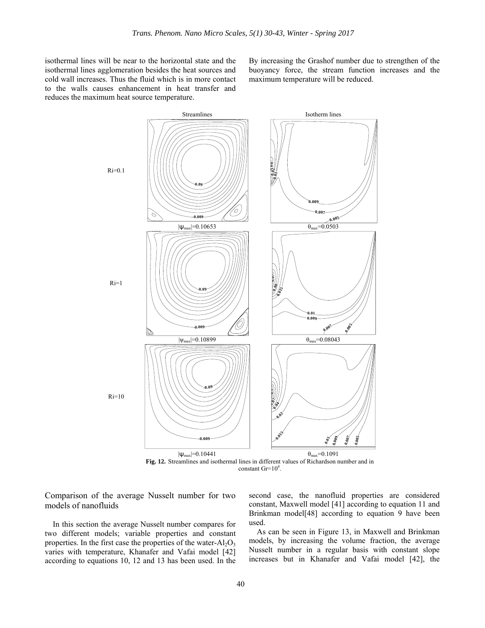isothermal lines will be near to the horizontal state and the isothermal lines agglomeration besides the heat sources and cold wall increases. Thus the fluid which is in more contact to the walls causes enhancement in heat transfer and reduces the maximum heat source temperature.

By increasing the Grashof number due to strengthen of the buoyancy force, the stream function increases and the maximum temperature will be reduced.



Comparison of the average Nusselt number for two models of nanofluids

 In this section the average Nusselt number compares for two different models; variable properties and constant properties. In the first case the properties of the water- $Al<sub>2</sub>O<sub>3</sub>$ varies with temperature, Khanafer and Vafai model [42] according to equations 10, 12 and 13 has been used. In the

second case, the nanofluid properties are considered constant, Maxwell model [41] according to equation 11 and Brinkman model[48] according to equation 9 have been used.

 As can be seen in Figure 13, in Maxwell and Brinkman models, by increasing the volume fraction, the average Nusselt number in a regular basis with constant slope increases but in Khanafer and Vafai model [42], the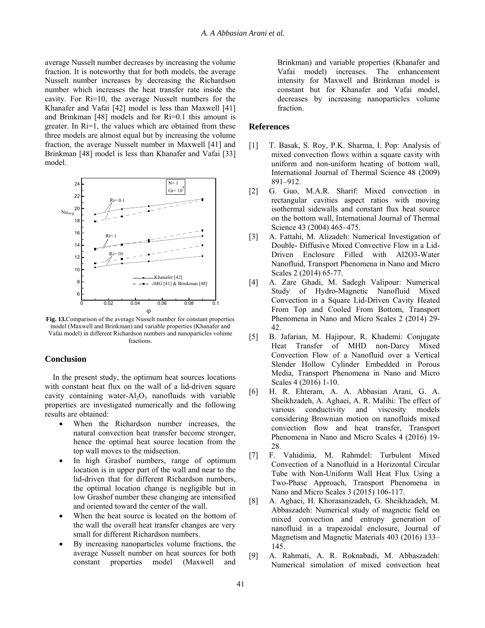average Nusselt number decreases by increasing the volume fraction. It is noteworthy that for both models, the average Nusselt number increases by decreasing the Richardson number which increases the heat transfer rate inside the cavity. For Ri=10, the average Nusselt numbers for the Khanafer and Vafai [42] model is less than Maxwell [41] and Brinkman [48] models and for Ri=0.1 this amount is greater. In Ri=1, the values which are obtained from these three models are almost equal but by increasing the volume fraction, the average Nusselt number in Maxwell [41] and Brinkman [48] model is less than Khanafer and Vafai [33] model.



**Fig. 13.**Comparison of the average Nusselt number for constant properties model (Maxwell and Brinkman) and variable properties (Khanafer and Vafai model) in different Richardson numbers and nanoparticles volume fractions.

# **Conclusion**

 In the present study, the optimum heat sources locations with constant heat flux on the wall of a lid-driven square cavity containing water- $Al_2O_3$  nanofluids with variable properties are investigated numerically and the following results are obtained:

- When the Richardson number increases, the natural convection heat transfer become stronger, hence the optimal heat source location from the top wall moves to the midsection.
- In high Grashof numbers, range of optimum location is in upper part of the wall and near to the lid-driven that for different Richardson numbers, the optimal location change is negligible but in low Grashof number these changing are intensified and oriented toward the center of the wall.
- When the heat source is located on the bottom of the wall the overall heat transfer changes are very small for different Richardson numbers.
- By increasing nanoparticles volume fractions, the average Nusselt number on heat sources for both constant properties model (Maxwell and

Brinkman) and variable properties (Khanafer and Vafai model) increases. The enhancement intensity for Maxwell and Brinkman model is constant but for Khanafer and Vafai model, decreases by increasing nanoparticles volume fraction.

# **References**

- [1] T. Basak, S. Roy, P.K. Sharma, I. Pop: Analysis of mixed convection flows within a square cavity with uniform and non-uniform heating of bottom wall, International Journal of Thermal Science 48 (2009) 891–912.
- [2] G. Guo, M.A.R. Sharif: Mixed convection in rectangular cavities aspect ratios with moving isothermal sidewalls and constant flux heat source on the bottom wall, International Journal of Thermal Science 43 (2004) 465–475.
- [3] A. Fattahi, M. Alizadeh: Numerical Investigation of Double- Diffusive Mixed Convective Flow in a Lid-Driven Enclosure Filled with Al2O3-Water Nanofluid, Transport Phenomena in Nano and Micro Scales 2 (2014) 65-77.
- [4] A. Zare Ghadi, M. Sadegh Valipour: Numerical Study of Hydro-Magnetic Nanofluid Mixed Convection in a Square Lid-Driven Cavity Heated From Top and Cooled From Bottom, Transport Phenomena in Nano and Micro Scales 2 (2014) 29- 42.
- [5] B. Jafarian, M. Hajipour, R. Khademi: Conjugate Heat Transfer of MHD non-Darcy Mixed Convection Flow of a Nanofluid over a Vertical Slender Hollow Cylinder Embedded in Porous Media, Transport Phenomena in Nano and Micro Scales 4 (2016) 1-10.
- [6] H. R. Ehteram, A. A. Abbasian Arani, G. A. Sheikhzadeh, A. Aghaei, A. R. Malihi: The effect of various conductivity and viscosity models considering Brownian motion on nanofluids mixed convection flow and heat transfer, Transport Phenomena in Nano and Micro Scales 4 (2016) 19- 28.
- [7] F. Vahidinia, M. Rahmdel: Turbulent Mixed Convection of a Nanofluid in a Horizontal Circular Tube with Non-Uniform Wall Heat Flux Using a Two-Phase Approach, Transport Phenomena in Nano and Micro Scales 3 (2015) 106-117.
- [8] A. Aghaei, H. Khorasanizadeh, G. Sheikhzadeh, M. Abbaszadeh: Numerical study of magnetic field on mixed convection and entropy generation of nanofluid in a trapezoidal enclosure, Journal of Magnetism and Magnetic Materials 403 (2016) 133– 145.
- [9] A. Rahmati, A. R. Roknabadi, M. Abbaszadeh: Numerical simulation of mixed convection heat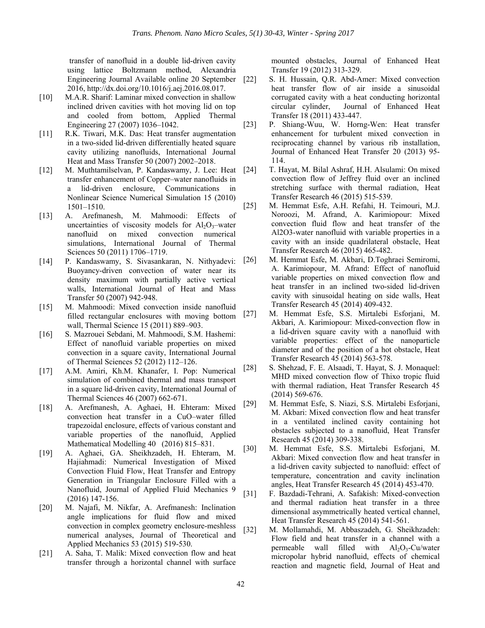transfer of nanofluid in a double lid-driven cavity using lattice Boltzmann method, Alexandria Engineering Journal Available online 20 September 2016, http://dx.doi.org/10.1016/j.aej.2016.08.017.

- [10] M.A.R. Sharif: Laminar mixed convection in shallow inclined driven cavities with hot moving lid on top and cooled from bottom, Applied Thermal Engineering 27 (2007) 1036–1042.
- [11] R.K. Tiwari, M.K. Das: Heat transfer augmentation in a two-sided lid-driven differentially heated square cavity utilizing nanofluids, International Journal Heat and Mass Transfer 50 (2007) 2002–2018.
- [12] M. Muthtamilselvan, P. Kandaswamy, J. Lee: Heat transfer enhancement of Copper–water nanofluids in a lid-driven enclosure, Communications in Nonlinear Science Numerical Simulation 15 (2010) 1501–1510.
- [13] A. Arefmanesh, M. Mahmoodi: Effects of uncertainties of viscosity models for  $Al_2O_3$ -water nanofluid on mixed convection numerical simulations, International Journal of Thermal Sciences 50 (2011) 1706–1719.
- [14] P. Kandaswamy, S. Sivasankaran, N. Nithyadevi: Buoyancy-driven convection of water near its density maximum with partially active vertical walls, International Journal of Heat and Mass Transfer 50 (2007) 942-948.
- [15] M. Mahmoodi: Mixed convection inside nanofluid filled rectangular enclosures with moving bottom wall, Thermal Science 15 (2011) 889–903.
- [16] S. Mazrouei Sebdani, M. Mahmoodi, S.M. Hashemi: Effect of nanofluid variable properties on mixed convection in a square cavity, International Journal of Thermal Sciences 52 (2012) 112–126.
- [17] A.M. Amiri, Kh.M. Khanafer, I. Pop: Numerical simulation of combined thermal and mass transport in a square lid-driven cavity, International Journal of Thermal Sciences 46 (2007) 662-671.
- [18] A. Arefmanesh, A. Aghaei, H. Ehteram: Mixed convection heat transfer in a CuO–water filled trapezoidal enclosure, effects of various constant and variable properties of the nanofluid, Applied Mathematical Modelling 40 (2016) 815–831.
- [19] A. Aghaei, GA. Sheikhzadeh, H. Ehteram, M. Hajiahmadi: Numerical Investigation of Mixed Convection Fluid Flow, Heat Transfer and Entropy Generation in Triangular Enclosure Filled with a Nanofluid, Journal of Applied Fluid Mechanics 9 (2016) 147-156.
- [20] M. Najafi, M. Nikfar, A. Arefmanesh: Inclination angle implications for fluid flow and mixed convection in complex geometry enclosure-meshless numerical analyses, Journal of Theoretical and Applied Mechanics 53 (2015) 519-530.
- [21] A. Saha, T. Malik: Mixed convection flow and heat transfer through a horizontal channel with surface

mounted obstacles, Journal of Enhanced Heat Transfer 19 (2012) 313-329.

- S. H. Hussain, Q.R. Abd-Amer: Mixed convection heat transfer flow of air inside a sinusoidal corrugated cavity with a heat conducting horizontal circular cylinder, Journal of Enhanced Heat Transfer 18 (2011) 433-447.
- [23] P. Shiang-Wuu, W. Horng-Wen: Heat transfer enhancement for turbulent mixed convection in reciprocating channel by various rib installation, Journal of Enhanced Heat Transfer 20 (2013) 95- 114.
- [24] T. Hayat, M. Bilal Ashraf, H.H. Alsulami: On mixed convection flow of Jeffrey fluid over an inclined stretching surface with thermal radiation, Heat Transfer Research 46 (2015) 515-539.
- [25] M. Hemmat Esfe, A.H. Refahi, H. Teimouri, M.J. Noroozi, M. Afrand, A. Karimiopour: Mixed convection fluid flow and heat transfer of the Al2O3-water nanofluid with variable properties in a cavity with an inside quadrilateral obstacle, Heat Transfer Research 46 (2015) 465-482.
- [26] M. Hemmat Esfe, M. Akbari, D.Toghraei Semiromi, A. Karimiopour, M. Afrand: Effect of nanofluid variable properties on mixed convection flow and heat transfer in an inclined two-sided lid-driven cavity with sinusoidal heating on side walls, Heat Transfer Research 45 (2014) 409-432.
- [27] M. Hemmat Esfe, S.S. Mirtalebi Esforjani, M. Akbari, A. Karimiopour: Mixed-convection flow in a lid-driven square cavity with a nanofluid with variable properties: effect of the nanoparticle diameter and of the position of a hot obstacle, Heat Transfer Research 45 (2014) 563-578.
- [28] S. Shehzad, F. E. Alsaadi, T. Hayat, S. J. Monaquel: MHD mixed convection flow of Thixo tropic fluid with thermal radiation, Heat Transfer Research 45 (2014) 569-676.
- [29] M. Hemmat Esfe, S. Niazi, S.S. Mirtalebi Esforjani, M. Akbari: Mixed convection flow and heat transfer in a ventilated inclined cavity containing hot obstacles subjected to a nanofluid, Heat Transfer Research 45 (2014) 309-338.
- [30] M. Hemmat Esfe, S.S. Mirtalebi Esforjani, M. Akbari: Mixed convection flow and heat transfer in a lid-driven cavity subjected to nanofluid: effect of temperature, concentration and cavity inclination angles, Heat Transfer Research 45 (2014) 453-470.
- [31] F. Bazdadi-Tehrani, A. Safakish: Mixed-convection and thermal radiation heat transfer in a three dimensional asymmetrically heated vertical channel, Heat Transfer Research 45 (2014) 541-561.
- [32] M. Mollamahdi, M. Abbaszadeh, G. Sheikhzadeh: Flow field and heat transfer in a channel with a permeable wall filled with  $Al_2O_3$ -Cu/water micropolar hybrid nanofluid, effects of chemical reaction and magnetic field, Journal of Heat and